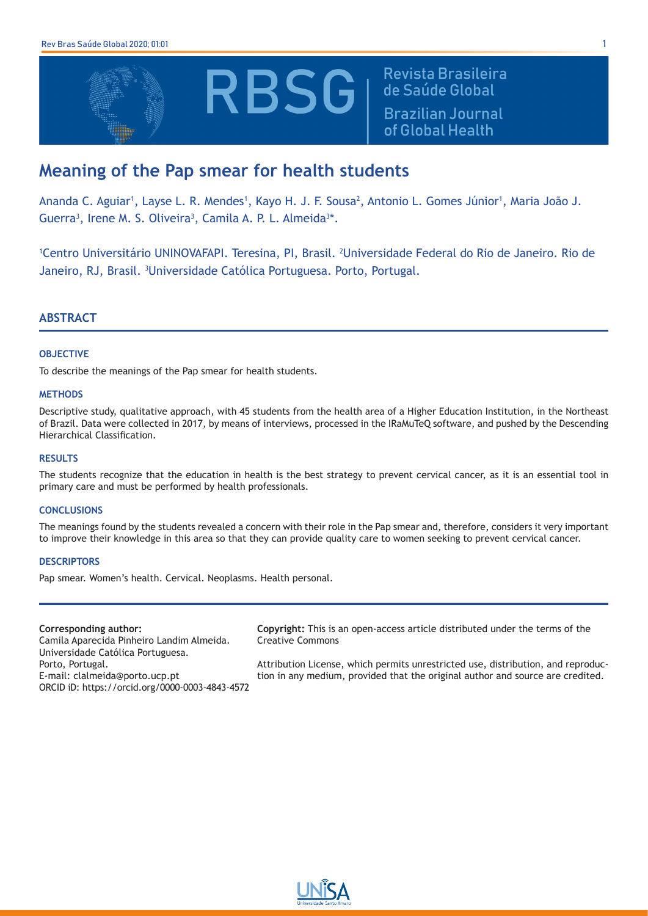

Revista Brasileira de Saúde Global **Brazilian Journal** of Global Health

# **Meaning of the Pap smear for health students**

Ananda C. Aguiar<sup>1</sup>, Layse L. R. Mendes<sup>1</sup>, Kayo H. J. F. Sousa<sup>2</sup>, Antonio L. Gomes Júnior<sup>1</sup>, Maria João J. Guerra<sup>3</sup>, Irene M. S. Oliveira<sup>3</sup>, Camila A. P. L. Almeida<sup>3\*</sup>.

<sup>1</sup>Centro Universitário UNINOVAFAPI. Teresina, PI, Brasil. <sup>2</sup>Universidade Federal do Rio de Janeiro. Rio de Janeiro, RJ, Brasil. <sup>3</sup>Universidade Católica Portuguesa. Porto, Portugal.

# **ABSTRACT**

## **OBJECTIVE**

To describe the meanings of the Pap smear for health students.

## **METHODS**

Descriptive study, qualitative approach, with 45 students from the health area of a Higher Education Institution, in the Northeast of Brazil. Data were collected in 2017, by means of interviews, processed in the IRaMuTeQ software, and pushed by the Descending Hierarchical Classification.

# **RESULTS**

The students recognize that the education in health is the best strategy to prevent cervical cancer, as it is an essential tool in primary care and must be performed by health professionals.

### **CONCLUSIONS**

The meanings found by the students revealed a concern with their role in the Pap smear and, therefore, considers it very important to improve their knowledge in this area so that they can provide quality care to women seeking to prevent cervical cancer.

## **DESCRIPTORS**

Pap smear. Women's health. Cervical. Neoplasms. Health personal.

### **Corresponding author:**

Camila Aparecida Pinheiro Landim Almeida. Universidade Católica Portuguesa. Porto, Portugal. E-mail: clalmeida@porto.ucp.pt ORCID iD: https://orcid.org/0000-0003-4843-4572 **Copyright:** This is an open-access article distributed under the terms of the Creative Commons

Attribution License, which permits unrestricted use, distribution, and reproduction in any medium, provided that the original author and source are credited.

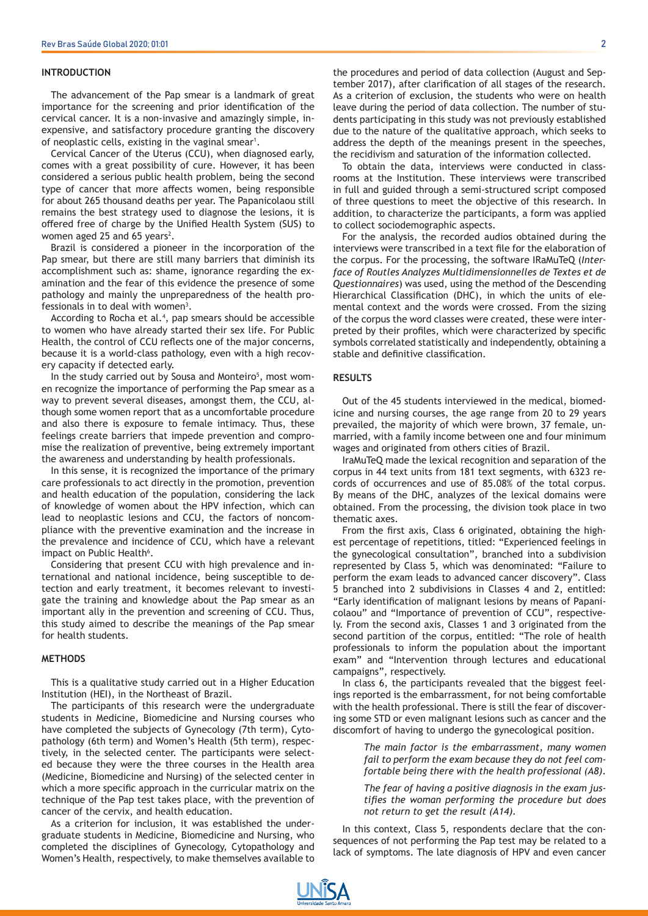#### **INTRODUCTION**

The advancement of the Pap smear is a landmark of great importance for the screening and prior identification of the cervical cancer. It is a non-invasive and amazingly simple, inexpensive, and satisfactory procedure granting the discovery of neoplastic cells, existing in the vaginal smear<sup>1</sup>.

Cervical Cancer of the Uterus (CCU), when diagnosed early, comes with a great possibility of cure. However, it has been considered a serious public health problem, being the second type of cancer that more affects women, being responsible for about 265 thousand deaths per year. The Papanicolaou still remains the best strategy used to diagnose the lesions, it is offered free of charge by the Unified Health System (SUS) to women aged 25 and 65 years<sup>2</sup>.

Brazil is considered a pioneer in the incorporation of the Pap smear, but there are still many barriers that diminish its accomplishment such as: shame, ignorance regarding the examination and the fear of this evidence the presence of some pathology and mainly the unpreparedness of the health professionals in to deal with women $3$ .

According to Rocha et al.<sup>4</sup>, pap smears should be accessible to women who have already started their sex life. For Public Health, the control of CCU reflects one of the major concerns, because it is a world-class pathology, even with a high recovery capacity if detected early.

In the study carried out by Sousa and Monteiro<sup>5</sup>, most women recognize the importance of performing the Pap smear as a way to prevent several diseases, amongst them, the CCU, although some women report that as a uncomfortable procedure and also there is exposure to female intimacy. Thus, these feelings create barriers that impede prevention and compromise the realization of preventive, being extremely important the awareness and understanding by health professionals.

In this sense, it is recognized the importance of the primary care professionals to act directly in the promotion, prevention and health education of the population, considering the lack of knowledge of women about the HPV infection, which can lead to neoplastic lesions and CCU, the factors of noncompliance with the preventive examination and the increase in the prevalence and incidence of CCU, which have a relevant impact on Public Health<sup>6</sup>.

Considering that present CCU with high prevalence and international and national incidence, being susceptible to detection and early treatment, it becomes relevant to investigate the training and knowledge about the Pap smear as an important ally in the prevention and screening of CCU. Thus, this study aimed to describe the meanings of the Pap smear for health students.

## **METHODS**

This is a qualitative study carried out in a Higher Education Institution (HEI), in the Northeast of Brazil.

The participants of this research were the undergraduate students in Medicine, Biomedicine and Nursing courses who have completed the subjects of Gynecology (7th term), Cytopathology (6th term) and Women's Health (5th term), respectively, in the selected center. The participants were selected because they were the three courses in the Health area (Medicine, Biomedicine and Nursing) of the selected center in which a more specific approach in the curricular matrix on the technique of the Pap test takes place, with the prevention of cancer of the cervix, and health education.

As a criterion for inclusion, it was established the undergraduate students in Medicine, Biomedicine and Nursing, who completed the disciplines of Gynecology, Cytopathology and Women's Health, respectively, to make themselves available to

the procedures and period of data collection (August and September 2017), after clarification of all stages of the research. As a criterion of exclusion, the students who were on health leave during the period of data collection. The number of students participating in this study was not previously established due to the nature of the qualitative approach, which seeks to address the depth of the meanings present in the speeches, the recidivism and saturation of the information collected.

To obtain the data, interviews were conducted in classrooms at the Institution. These interviews were transcribed in full and guided through a semi-structured script composed of three questions to meet the objective of this research. In addition, to characterize the participants, a form was applied to collect sociodemographic aspects.

For the analysis, the recorded audios obtained during the interviews were transcribed in a text file for the elaboration of the corpus. For the processing, the software IRaMuTeQ (*Interface of Routles Analyzes Multidimensionnelles de Textes et de Questionnaires*) was used, using the method of the Descending Hierarchical Classification (DHC), in which the units of elemental context and the words were crossed. From the sizing of the corpus the word classes were created, these were interpreted by their profiles, which were characterized by specific symbols correlated statistically and independently, obtaining a stable and definitive classification.

#### **RESULTS**

Out of the 45 students interviewed in the medical, biomedicine and nursing courses, the age range from 20 to 29 years prevailed, the majority of which were brown, 37 female, unmarried, with a family income between one and four minimum wages and originated from others cities of Brazil.

IraMuTeQ made the lexical recognition and separation of the corpus in 44 text units from 181 text segments, with 6323 records of occurrences and use of 85.08% of the total corpus. By means of the DHC, analyzes of the lexical domains were obtained. From the processing, the division took place in two thematic axes.

From the first axis, Class 6 originated, obtaining the highest percentage of repetitions, titled: "Experienced feelings in the gynecological consultation", branched into a subdivision represented by Class 5, which was denominated: "Failure to perform the exam leads to advanced cancer discovery". Class 5 branched into 2 subdivisions in Classes 4 and 2, entitled: "Early identification of malignant lesions by means of Papanicolaou" and "Importance of prevention of CCU", respectively. From the second axis, Classes 1 and 3 originated from the second partition of the corpus, entitled: "The role of health professionals to inform the population about the important exam" and "Intervention through lectures and educational campaigns", respectively.

In class 6, the participants revealed that the biggest feelings reported is the embarrassment, for not being comfortable with the health professional. There is still the fear of discovering some STD or even malignant lesions such as cancer and the discomfort of having to undergo the gynecological position.

> *The main factor is the embarrassment, many women fail to perform the exam because they do not feel comfortable being there with the health professional (A8).*

> *The fear of having a positive diagnosis in the exam justifies the woman performing the procedure but does not return to get the result (A14).*

In this context, Class 5, respondents declare that the consequences of not performing the Pap test may be related to a lack of symptoms. The late diagnosis of HPV and even cancer

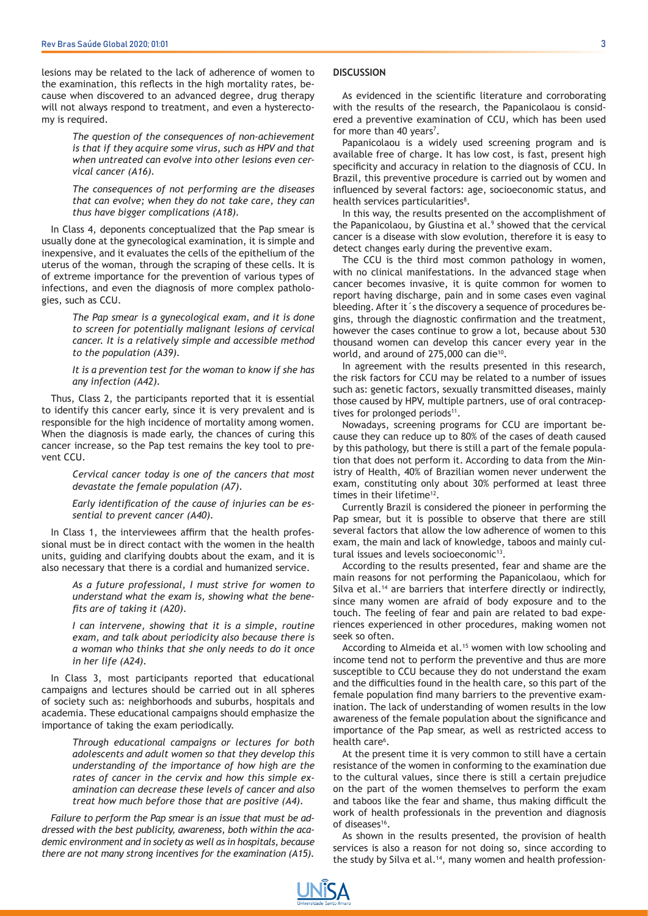lesions may be related to the lack of adherence of women to the examination, this reflects in the high mortality rates, because when discovered to an advanced degree, drug therapy will not always respond to treatment, and even a hysterectomy is required.

> *The question of the consequences of non-achievement is that if they acquire some virus, such as HPV and that when untreated can evolve into other lesions even cervical cancer (A16).*

> *The consequences of not performing are the diseases that can evolve; when they do not take care, they can thus have bigger complications (A18).*

In Class 4, deponents conceptualized that the Pap smear is usually done at the gynecological examination, it is simple and inexpensive, and it evaluates the cells of the epithelium of the uterus of the woman, through the scraping of these cells. It is of extreme importance for the prevention of various types of infections, and even the diagnosis of more complex pathologies, such as CCU.

> *The Pap smear is a gynecological exam, and it is done to screen for potentially malignant lesions of cervical cancer. It is a relatively simple and accessible method to the population (A39).*

> *It is a prevention test for the woman to know if she has any infection (A42).*

Thus, Class 2, the participants reported that it is essential to identify this cancer early, since it is very prevalent and is responsible for the high incidence of mortality among women. When the diagnosis is made early, the chances of curing this cancer increase, so the Pap test remains the key tool to prevent CCU.

> *Cervical cancer today is one of the cancers that most devastate the female population (A7).*

> *Early identification of the cause of injuries can be essential to prevent cancer (A40).*

In Class 1, the interviewees affirm that the health professional must be in direct contact with the women in the health units, guiding and clarifying doubts about the exam, and it is also necessary that there is a cordial and humanized service.

> *As a future professional, I must strive for women to understand what the exam is, showing what the benefits are of taking it (A20).*

> *I can intervene, showing that it is a simple, routine exam, and talk about periodicity also because there is a woman who thinks that she only needs to do it once in her life (A24).*

In Class 3, most participants reported that educational campaigns and lectures should be carried out in all spheres of society such as: neighborhoods and suburbs, hospitals and academia. These educational campaigns should emphasize the importance of taking the exam periodically.

> *Through educational campaigns or lectures for both adolescents and adult women so that they develop this understanding of the importance of how high are the rates of cancer in the cervix and how this simple examination can decrease these levels of cancer and also treat how much before those that are positive (A4).*

*Failure to perform the Pap smear is an issue that must be addressed with the best publicity, awareness, both within the academic environment and in society as well as in hospitals, because there are not many strong incentives for the examination (A15).*

#### **DISCUSSION**

As evidenced in the scientific literature and corroborating with the results of the research, the Papanicolaou is considered a preventive examination of CCU, which has been used for more than 40 years<sup>7</sup>.

Papanicolaou is a widely used screening program and is available free of charge. It has low cost, is fast, present high specificity and accuracy in relation to the diagnosis of CCU. In Brazil, this preventive procedure is carried out by women and influenced by several factors: age, socioeconomic status, and health services particularities<sup>8</sup>.

In this way, the results presented on the accomplishment of the Papanicolaou, by Giustina et al.<sup>9</sup> showed that the cervical cancer is a disease with slow evolution, therefore it is easy to detect changes early during the preventive exam.

The CCU is the third most common pathology in women, with no clinical manifestations. In the advanced stage when cancer becomes invasive, it is quite common for women to report having discharge, pain and in some cases even vaginal bleeding. After it´s the discovery a sequence of procedures begins, through the diagnostic confirmation and the treatment, however the cases continue to grow a lot, because about 530 thousand women can develop this cancer every year in the world, and around of 275,000 can die<sup>10</sup>.

In agreement with the results presented in this research, the risk factors for CCU may be related to a number of issues such as: genetic factors, sexually transmitted diseases, mainly those caused by HPV, multiple partners, use of oral contraceptives for prolonged periods<sup>11</sup>.

Nowadays, screening programs for CCU are important because they can reduce up to 80% of the cases of death caused by this pathology, but there is still a part of the female population that does not perform it. According to data from the Ministry of Health, 40% of Brazilian women never underwent the exam, constituting only about 30% performed at least three times in their lifetime<sup>12</sup>.

Currently Brazil is considered the pioneer in performing the Pap smear, but it is possible to observe that there are still several factors that allow the low adherence of women to this exam, the main and lack of knowledge, taboos and mainly cultural issues and levels socioeconomic<sup>13</sup>.

According to the results presented, fear and shame are the main reasons for not performing the Papanicolaou, which for Silva et al.<sup>14</sup> are barriers that interfere directly or indirectly, since many women are afraid of body exposure and to the touch. The feeling of fear and pain are related to bad experiences experienced in other procedures, making women not seek so often.

According to Almeida et al.<sup>15</sup> women with low schooling and income tend not to perform the preventive and thus are more susceptible to CCU because they do not understand the exam and the difficulties found in the health care, so this part of the female population find many barriers to the preventive examination. The lack of understanding of women results in the low awareness of the female population about the significance and importance of the Pap smear, as well as restricted access to health care<sup>6</sup>.

At the present time it is very common to still have a certain resistance of the women in conforming to the examination due to the cultural values, since there is still a certain prejudice on the part of the women themselves to perform the exam and taboos like the fear and shame, thus making difficult the work of health professionals in the prevention and diagnosis of diseases<sup>16</sup>.

As shown in the results presented, the provision of health services is also a reason for not doing so, since according to the study by Silva et al.<sup>14</sup>, many women and health profession-

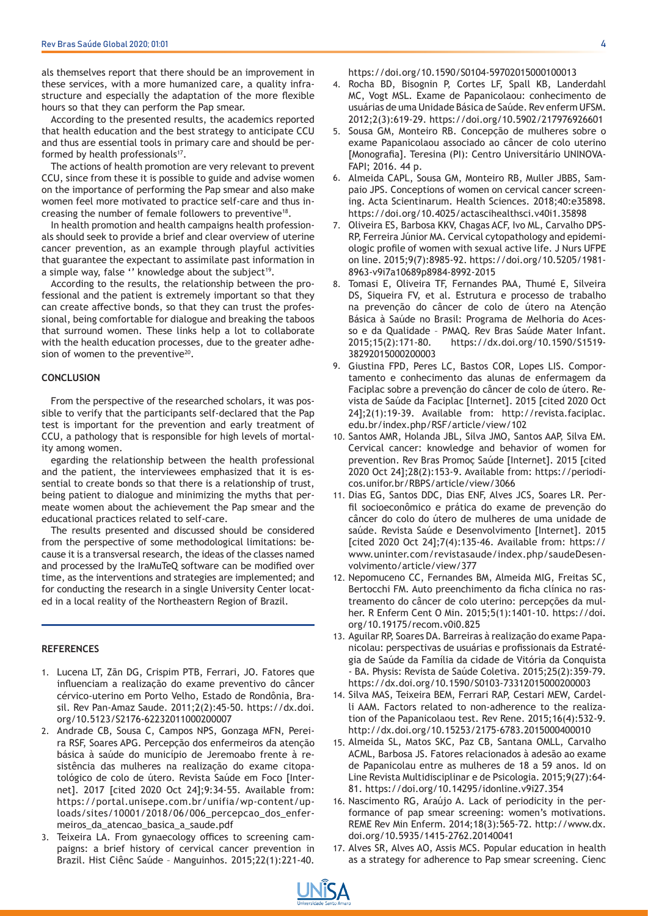als themselves report that there should be an improvement in these services, with a more humanized care, a quality infrastructure and especially the adaptation of the more flexible hours so that they can perform the Pap smear.

According to the presented results, the academics reported that health education and the best strategy to anticipate CCU and thus are essential tools in primary care and should be performed by health professionals<sup>17</sup>.

The actions of health promotion are very relevant to prevent CCU, since from these it is possible to guide and advise women on the importance of performing the Pap smear and also make women feel more motivated to practice self-care and thus increasing the number of female followers to preventive<sup>18</sup>.

In health promotion and health campaigns health professionals should seek to provide a brief and clear overview of uterine cancer prevention, as an example through playful activities that guarantee the expectant to assimilate past information in a simple way, false " knowledge about the subject<sup>19</sup>.

According to the results, the relationship between the professional and the patient is extremely important so that they can create affective bonds, so that they can trust the professional, being comfortable for dialogue and breaking the taboos that surround women. These links help a lot to collaborate with the health education processes, due to the greater adhesion of women to the preventive<sup>20</sup>.

## **CONCLUSION**

From the perspective of the researched scholars, it was possible to verify that the participants self-declared that the Pap test is important for the prevention and early treatment of CCU, a pathology that is responsible for high levels of mortality among women.

egarding the relationship between the health professional and the patient, the interviewees emphasized that it is essential to create bonds so that there is a relationship of trust, being patient to dialogue and minimizing the myths that permeate women about the achievement the Pap smear and the educational practices related to self-care.

The results presented and discussed should be considered from the perspective of some methodological limitations: because it is a transversal research, the ideas of the classes named and processed by the IraMuTeQ software can be modified over time, as the interventions and strategies are implemented; and for conducting the research in a single University Center located in a local reality of the Northeastern Region of Brazil.

#### **REFERENCES**

- 1. Lucena LT, Zãn DG, Crispim PTB, Ferrari, JO. Fatores que influenciam a realização do exame preventivo do câncer cérvico-uterino em Porto Velho, Estado de Rondônia, Brasil. Rev Pan-Amaz Saude. 2011;2(2):45-50. https://dx.doi. org/10.5123/S2176-62232011000200007
- 2. Andrade CB, Sousa C, Campos NPS, Gonzaga MFN, Pereira RSF, Soares APG. Percepção dos enfermeiros da atenção básica à saúde do município de Jeremoabo frente à resistência das mulheres na realização do exame citopatológico de colo de útero. Revista Saúde em Foco [Internet]. 2017 [cited 2020 Oct 24];9:34-55. Available from: https://portal.unisepe.com.br/unifia/wp-content/uploads/sites/10001/2018/06/006\_percepcao\_dos\_enfermeiros\_da\_atencao\_basica\_a\_saude.pdf
- Teixeira LA. From gynaecology offices to screening cam-3. paigns: a brief history of cervical cancer prevention in Brazil. Hist Ciênc Saúde – Manguinhos. 2015;22(1):221-40.

https://doi.org/10.1590/S0104-59702015000100013

- Rocha BD, Bisognin P, Cortes LF, Spall KB, Landerdahl MC, Vogt MSL. Exame de Papanicolaou: conhecimento de usuárias de uma Unidade Básica de Saúde. Rev enferm UFSM. 2012;2(3):619-29. https://doi.org/10.5902/217976926601 4.
- 5. Sousa GM, Monteiro RB. Concepção de mulheres sobre o exame Papanicolaou associado ao câncer de colo uterino [Monografia]. Teresina (PI): Centro Universitário UNINOVA-FAPI; 2016. 44 p.
- 6. Almeida CAPL, Sousa GM, Monteiro RB, Muller JBBS, Sampaio JPS. Conceptions of women on cervical cancer screening. Acta Scientinarum. Health Sciences. 2018;40:e35898. https://doi.org/10.4025/actascihealthsci.v40i1.35898
- 7. Oliveira ES, Barbosa KKV, Chagas ACF, Ivo ML, Carvalho DPS-RP, Ferreira Júnior MA. Cervical cytopathology and epidemiologic profile of women with sexual active life. J Nurs UFPE on line. 2015;9(7):8985-92. https://doi.org/10.5205/1981- 8963-v9i7a10689p8984-8992-2015
- 8. Tomasi E, Oliveira TF, Fernandes PAA, Thumé E, Silveira DS, Siqueira FV, et al. Estrutura e processo de trabalho na prevenção do câncer de colo de útero na Atenção Básica à Saúde no Brasil: Programa de Melhoria do Acesso e da Qualidade – PMAQ. Rev Bras Saúde Mater Infant. 2015;15(2):171-80. https://dx.doi.org/10.1590/S1519- 38292015000200003
- 9. Giustina FPD, Peres LC, Bastos COR, Lopes LIS. Comportamento e conhecimento das alunas de enfermagem da Faciplac sobre a prevenção do câncer de colo de útero. Revista de Saúde da Faciplac [Internet]. 2015 [cited 2020 Oct 24];2(1):19-39. Available from: http://revista.faciplac. edu.br/index.php/RSF/article/view/102
- 10. Santos AMR, Holanda JBL, Silva JMO, Santos AAP, Silva EM. Cervical cancer: knowledge and behavior of women for prevention. Rev Bras Promoç Saúde [Internet]. 2015 [cited 2020 Oct 24];28(2):153-9. Available from: https://periodicos.unifor.br/RBPS/article/view/3066
- 11. Dias EG, Santos DDC, Dias ENF, Alves JCS, Soares LR. Perfil socioeconômico e prática do exame de prevenção do câncer do colo do útero de mulheres de uma unidade de saúde. Revista Saúde e Desenvolvimento [Internet]. 2015 [cited 2020 Oct 24];7(4):135-46. Available from: https:// www.uninter.com/revistasaude/index.php/saudeDesenvolvimento/article/view/377
- 12. Nepomuceno CC, Fernandes BM, Almeida MIG, Freitas SC, Bertocchi FM. Auto preenchimento da ficha clínica no rastreamento do câncer de colo uterino: percepções da mulher. R Enferm Cent O Min. 2015;5(1):1401-10. https://doi. org/10.19175/recom.v0i0.825
- 13. Aguilar RP, Soares DA. Barreiras à realização do exame Papanicolau: perspectivas de usuárias e profissionais da Estratégia de Saúde da Família da cidade de Vitória da Conquista - BA. Physis: Revista de Saúde Coletiva. 2015;25(2):359-79. https://dx.doi.org/10.1590/S0103-73312015000200003
- 14. Silva MAS, Teixeira BEM, Ferrari RAP, Cestari MEW, Cardelli AAM. Factors related to non-adherence to the realization of the Papanicolaou test. Rev Rene. 2015;16(4):532-9. http://dx.doi.org/10.15253/2175-6783.2015000400010
- 15. Almeida SL, Matos SKC, Paz CB, Santana OMLL, Carvalho ACML, Barbosa JS. Fatores relacionados à adesão ao exame de Papanicolau entre as mulheres de 18 a 59 anos. Id on Line Revista Multidisciplinar e de Psicologia. 2015;9(27):64- 81. https://doi.org/10.14295/idonline.v9i27.354
- 16. Nascimento RG, Araújo A. Lack of periodicity in the performance of pap smear screening: women's motivations. REME Rev Min Enferm. 2014;18(3):565-72. http://www.dx. doi.org/10.5935/1415-2762.20140041
- 17. Alves SR, Alves AO, Assis MCS. Popular education in health as a strategy for adherence to Pap smear screening. Cienc